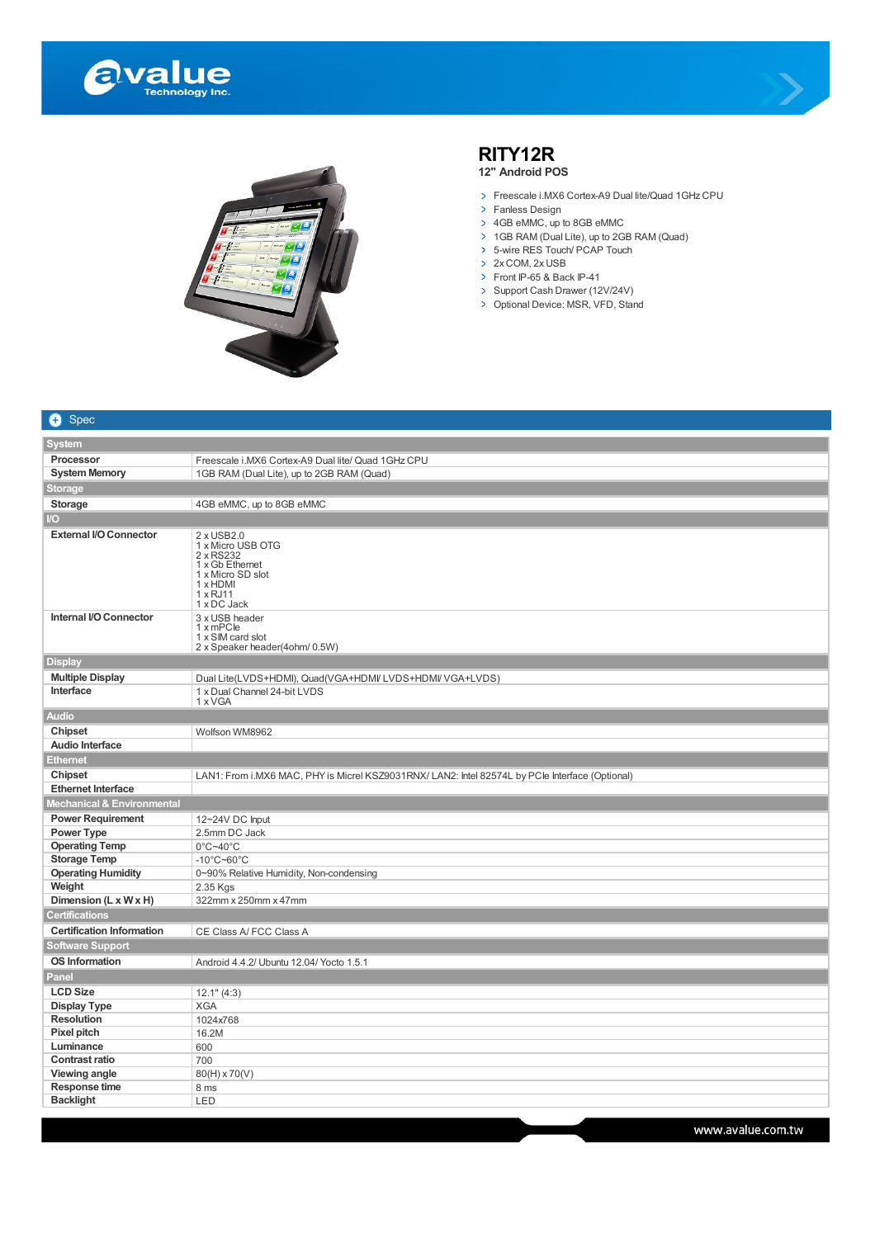





## **RITY12R**

**12" Android POS**

- > Freescale i.MX6 Cortex-A9 Dual lite/Quad 1GHz CPU
- > Fanless Design
- > 4GB eMMC, up to 8GB eMMC
- 1GB RAM (Dual Lite), up to 2GB RAM (Quad)
- 5-wire RES Touch/ PCAP Touch
- > 2x COM, 2x USB
- Front IP-65 & Back IP-41
- Support Cash Drawer (12V/24V) Optional Device: MSR, VFD, Stand

| 0<br><b>Spec</b>                      |                                                                                                                                    |
|---------------------------------------|------------------------------------------------------------------------------------------------------------------------------------|
| <b>System</b>                         |                                                                                                                                    |
| Processor                             | Freescale i.MX6 Cortex-A9 Dual lite/ Quad 1GHz CPU                                                                                 |
| <b>System Memory</b>                  | 1GB RAM (Dual Lite), up to 2GB RAM (Quad)                                                                                          |
| <b>Storage</b>                        |                                                                                                                                    |
| <b>Storage</b>                        | 4GB eMMC, up to 8GB eMMC                                                                                                           |
| $\overline{U}$                        |                                                                                                                                    |
| <b>External I/O Connector</b>         |                                                                                                                                    |
|                                       | 2 x USB2.0<br>1 x Micro USB OTG<br>2 x RS232<br>1 x Gb Ethernet<br>1 x Micro SD slot<br>1 x HDMI<br>$1 \times$ RJ11<br>1 x DC Jack |
| Internal I/O Connector                | 3 x USB header<br>1 x mPCle<br>1 x SIM card slot<br>2 x Speaker header(4ohm/ 0.5W)                                                 |
| <b>Display</b>                        |                                                                                                                                    |
| <b>Multiple Display</b>               | Dual Lite(LVDS+HDMI), Quad(VGA+HDMI/LVDS+HDMI/VGA+LVDS)                                                                            |
| Interface                             | 1 x Dual Channel 24-bit LVDS<br>1 x VGA                                                                                            |
| <b>Audio</b>                          |                                                                                                                                    |
| <b>Chipset</b>                        | Wolfson WM8962                                                                                                                     |
| <b>Audio Interface</b>                |                                                                                                                                    |
| <b>Ethernet</b>                       |                                                                                                                                    |
| <b>Chipset</b>                        | LAN1: From i.MX6 MAC, PHY is Micrel KSZ9031RNX/ LAN2: Intel 82574L by PCle Interface (Optional)                                    |
| <b>Ethernet Interface</b>             |                                                                                                                                    |
| <b>Mechanical &amp; Environmental</b> |                                                                                                                                    |
| <b>Power Requirement</b>              | 12~24V DC Input                                                                                                                    |
| <b>Power Type</b>                     | 2.5mm DC Jack                                                                                                                      |
| <b>Operating Temp</b>                 | $0^{\circ}$ C~40 $^{\circ}$ C                                                                                                      |
| <b>Storage Temp</b>                   | $-10^{\circ}$ C $-60^{\circ}$ C                                                                                                    |
| <b>Operating Humidity</b>             | 0~90% Relative Humidity, Non-condensing                                                                                            |
| Weight<br>Dimension (L x W x H)       | 2.35 Kgs<br>322mm x 250mm x 47mm                                                                                                   |
| <b>Certifications</b>                 |                                                                                                                                    |
| <b>Certification Information</b>      |                                                                                                                                    |
| <b>Software Support</b>               | CE Class A/ FCC Class A                                                                                                            |
| <b>OS Information</b>                 |                                                                                                                                    |
| Panel                                 | Android 4.4.2/ Ubuntu 12.04/ Yocto 1.5.1                                                                                           |
| <b>LCD Size</b>                       |                                                                                                                                    |
| <b>Display Type</b>                   | 12.1" (4:3)<br><b>XGA</b>                                                                                                          |
| <b>Resolution</b>                     | 1024x768                                                                                                                           |
| Pixel pitch                           | 16.2M                                                                                                                              |
| Luminance                             | 600                                                                                                                                |
| <b>Contrast ratio</b>                 | 700                                                                                                                                |
| Viewing angle                         | $80(H) \times 70(V)$                                                                                                               |
| Response time                         | 8 ms                                                                                                                               |
| <b>Backlight</b>                      | LED                                                                                                                                |
|                                       |                                                                                                                                    |